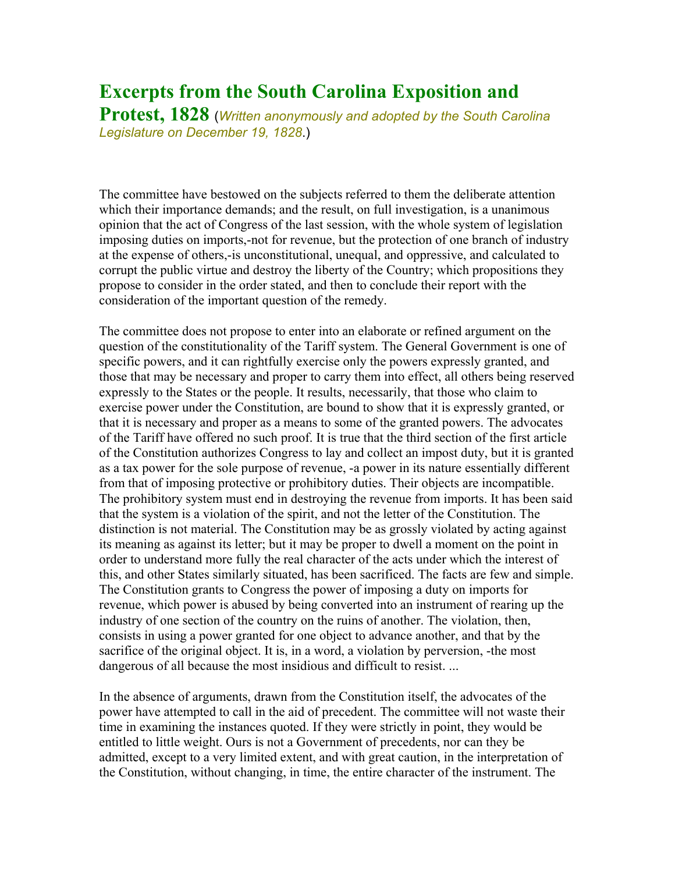## **Excerpts from the South Carolina Exposition and**

**Protest, 1828** (*Written anonymously and adopted by the South Carolina Legislature on December 19, 1828*.)

The committee have bestowed on the subjects referred to them the deliberate attention which their importance demands; and the result, on full investigation, is a unanimous opinion that the act of Congress of the last session, with the whole system of legislation imposing duties on imports,-not for revenue, but the protection of one branch of industry at the expense of others,-is unconstitutional, unequal, and oppressive, and calculated to corrupt the public virtue and destroy the liberty of the Country; which propositions they propose to consider in the order stated, and then to conclude their report with the consideration of the important question of the remedy.

The committee does not propose to enter into an elaborate or refined argument on the question of the constitutionality of the Tariff system. The General Government is one of specific powers, and it can rightfully exercise only the powers expressly granted, and those that may be necessary and proper to carry them into effect, all others being reserved expressly to the States or the people. It results, necessarily, that those who claim to exercise power under the Constitution, are bound to show that it is expressly granted, or that it is necessary and proper as a means to some of the granted powers. The advocates of the Tariff have offered no such proof. It is true that the third section of the first article of the Constitution authorizes Congress to lay and collect an impost duty, but it is granted as a tax power for the sole purpose of revenue, -a power in its nature essentially different from that of imposing protective or prohibitory duties. Their objects are incompatible. The prohibitory system must end in destroying the revenue from imports. It has been said that the system is a violation of the spirit, and not the letter of the Constitution. The distinction is not material. The Constitution may be as grossly violated by acting against its meaning as against its letter; but it may be proper to dwell a moment on the point in order to understand more fully the real character of the acts under which the interest of this, and other States similarly situated, has been sacrificed. The facts are few and simple. The Constitution grants to Congress the power of imposing a duty on imports for revenue, which power is abused by being converted into an instrument of rearing up the industry of one section of the country on the ruins of another. The violation, then, consists in using a power granted for one object to advance another, and that by the sacrifice of the original object. It is, in a word, a violation by perversion, -the most dangerous of all because the most insidious and difficult to resist. ...

In the absence of arguments, drawn from the Constitution itself, the advocates of the power have attempted to call in the aid of precedent. The committee will not waste their time in examining the instances quoted. If they were strictly in point, they would be entitled to little weight. Ours is not a Government of precedents, nor can they be admitted, except to a very limited extent, and with great caution, in the interpretation of the Constitution, without changing, in time, the entire character of the instrument. The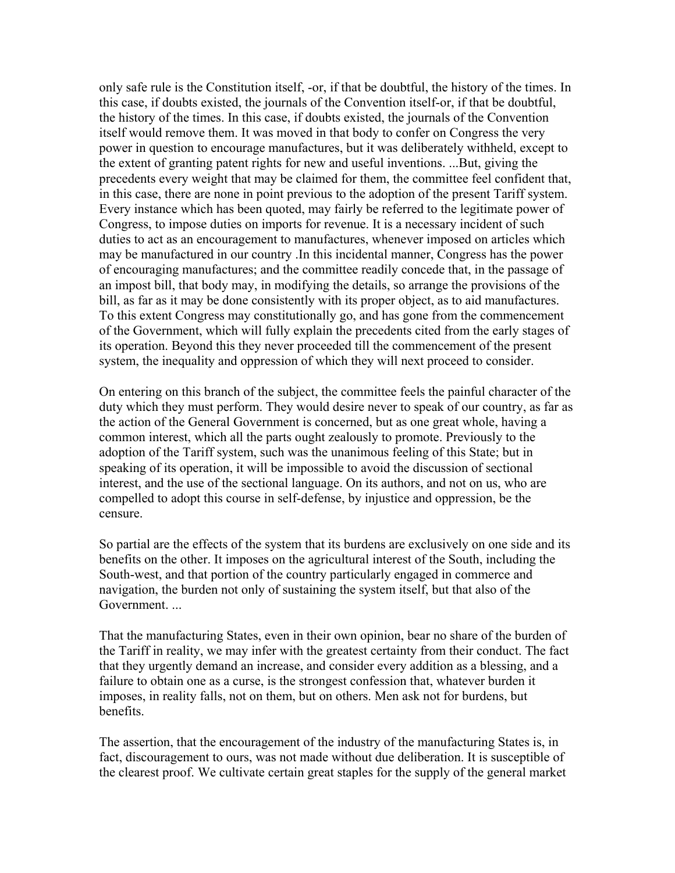only safe rule is the Constitution itself, -or, if that be doubtful, the history of the times. In this case, if doubts existed, the journals of the Convention itself-or, if that be doubtful, the history of the times. In this case, if doubts existed, the journals of the Convention itself would remove them. It was moved in that body to confer on Congress the very power in question to encourage manufactures, but it was deliberately withheld, except to the extent of granting patent rights for new and useful inventions. ...But, giving the precedents every weight that may be claimed for them, the committee feel confident that, in this case, there are none in point previous to the adoption of the present Tariff system. Every instance which has been quoted, may fairly be referred to the legitimate power of Congress, to impose duties on imports for revenue. It is a necessary incident of such duties to act as an encouragement to manufactures, whenever imposed on articles which may be manufactured in our country .In this incidental manner, Congress has the power of encouraging manufactures; and the committee readily concede that, in the passage of an impost bill, that body may, in modifying the details, so arrange the provisions of the bill, as far as it may be done consistently with its proper object, as to aid manufactures. To this extent Congress may constitutionally go, and has gone from the commencement of the Government, which will fully explain the precedents cited from the early stages of its operation. Beyond this they never proceeded till the commencement of the present system, the inequality and oppression of which they will next proceed to consider.

On entering on this branch of the subject, the committee feels the painful character of the duty which they must perform. They would desire never to speak of our country, as far as the action of the General Government is concerned, but as one great whole, having a common interest, which all the parts ought zealously to promote. Previously to the adoption of the Tariff system, such was the unanimous feeling of this State; but in speaking of its operation, it will be impossible to avoid the discussion of sectional interest, and the use of the sectional language. On its authors, and not on us, who are compelled to adopt this course in self-defense, by injustice and oppression, be the censure.

So partial are the effects of the system that its burdens are exclusively on one side and its benefits on the other. It imposes on the agricultural interest of the South, including the South-west, and that portion of the country particularly engaged in commerce and navigation, the burden not only of sustaining the system itself, but that also of the Government. ...

That the manufacturing States, even in their own opinion, bear no share of the burden of the Tariff in reality, we may infer with the greatest certainty from their conduct. The fact that they urgently demand an increase, and consider every addition as a blessing, and a failure to obtain one as a curse, is the strongest confession that, whatever burden it imposes, in reality falls, not on them, but on others. Men ask not for burdens, but benefits.

The assertion, that the encouragement of the industry of the manufacturing States is, in fact, discouragement to ours, was not made without due deliberation. It is susceptible of the clearest proof. We cultivate certain great staples for the supply of the general market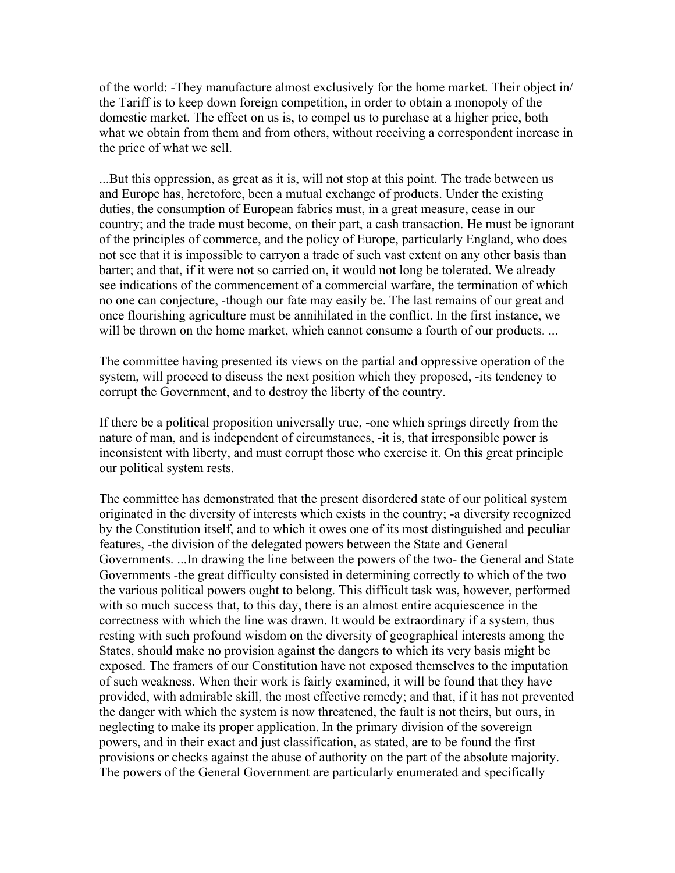of the world: -They manufacture almost exclusively for the home market. Their object in/ the Tariff is to keep down foreign competition, in order to obtain a monopoly of the domestic market. The effect on us is, to compel us to purchase at a higher price, both what we obtain from them and from others, without receiving a correspondent increase in the price of what we sell.

...But this oppression, as great as it is, will not stop at this point. The trade between us and Europe has, heretofore, been a mutual exchange of products. Under the existing duties, the consumption of European fabrics must, in a great measure, cease in our country; and the trade must become, on their part, a cash transaction. He must be ignorant of the principles of commerce, and the policy of Europe, particularly England, who does not see that it is impossible to carryon a trade of such vast extent on any other basis than barter; and that, if it were not so carried on, it would not long be tolerated. We already see indications of the commencement of a commercial warfare, the termination of which no one can conjecture, -though our fate may easily be. The last remains of our great and once flourishing agriculture must be annihilated in the conflict. In the first instance, we will be thrown on the home market, which cannot consume a fourth of our products. ...

The committee having presented its views on the partial and oppressive operation of the system, will proceed to discuss the next position which they proposed, -its tendency to corrupt the Government, and to destroy the liberty of the country.

If there be a political proposition universally true, -one which springs directly from the nature of man, and is independent of circumstances, -it is, that irresponsible power is inconsistent with liberty, and must corrupt those who exercise it. On this great principle our political system rests.

The committee has demonstrated that the present disordered state of our political system originated in the diversity of interests which exists in the country; -a diversity recognized by the Constitution itself, and to which it owes one of its most distinguished and peculiar features, -the division of the delegated powers between the State and General Governments. ...In drawing the line between the powers of the two- the General and State Governments -the great difficulty consisted in determining correctly to which of the two the various political powers ought to belong. This difficult task was, however, performed with so much success that, to this day, there is an almost entire acquiescence in the correctness with which the line was drawn. It would be extraordinary if a system, thus resting with such profound wisdom on the diversity of geographical interests among the States, should make no provision against the dangers to which its very basis might be exposed. The framers of our Constitution have not exposed themselves to the imputation of such weakness. When their work is fairly examined, it will be found that they have provided, with admirable skill, the most effective remedy; and that, if it has not prevented the danger with which the system is now threatened, the fault is not theirs, but ours, in neglecting to make its proper application. In the primary division of the sovereign powers, and in their exact and just classification, as stated, are to be found the first provisions or checks against the abuse of authority on the part of the absolute majority. The powers of the General Government are particularly enumerated and specifically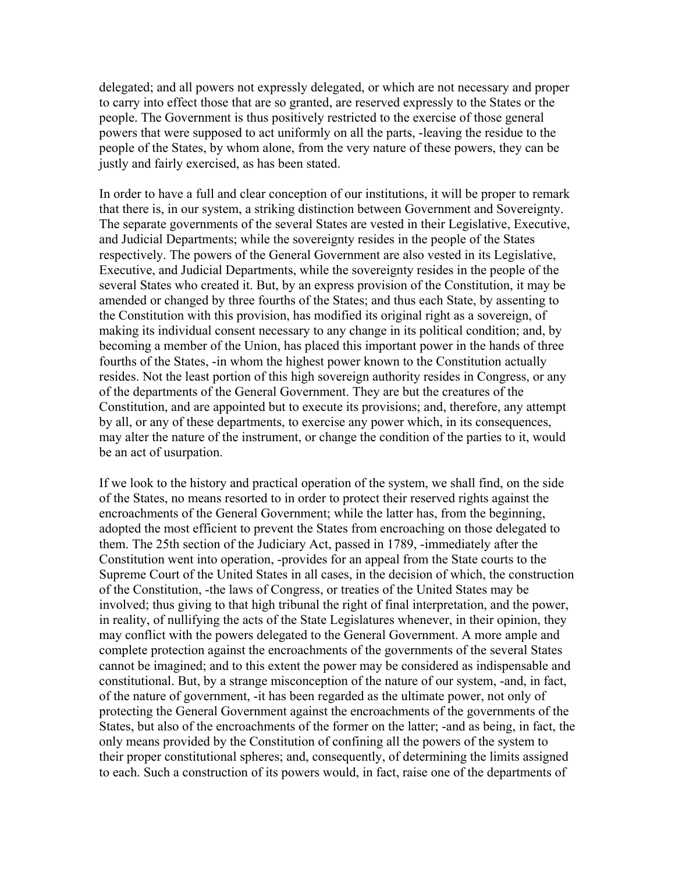delegated; and all powers not expressly delegated, or which are not necessary and proper to carry into effect those that are so granted, are reserved expressly to the States or the people. The Government is thus positively restricted to the exercise of those general powers that were supposed to act uniformly on all the parts, -leaving the residue to the people of the States, by whom alone, from the very nature of these powers, they can be justly and fairly exercised, as has been stated.

In order to have a full and clear conception of our institutions, it will be proper to remark that there is, in our system, a striking distinction between Government and Sovereignty. The separate governments of the several States are vested in their Legislative, Executive, and Judicial Departments; while the sovereignty resides in the people of the States respectively. The powers of the General Government are also vested in its Legislative, Executive, and Judicial Departments, while the sovereignty resides in the people of the several States who created it. But, by an express provision of the Constitution, it may be amended or changed by three fourths of the States; and thus each State, by assenting to the Constitution with this provision, has modified its original right as a sovereign, of making its individual consent necessary to any change in its political condition; and, by becoming a member of the Union, has placed this important power in the hands of three fourths of the States, -in whom the highest power known to the Constitution actually resides. Not the least portion of this high sovereign authority resides in Congress, or any of the departments of the General Government. They are but the creatures of the Constitution, and are appointed but to execute its provisions; and, therefore, any attempt by all, or any of these departments, to exercise any power which, in its consequences, may alter the nature of the instrument, or change the condition of the parties to it, would be an act of usurpation.

If we look to the history and practical operation of the system, we shall find, on the side of the States, no means resorted to in order to protect their reserved rights against the encroachments of the General Government; while the latter has, from the beginning, adopted the most efficient to prevent the States from encroaching on those delegated to them. The 25th section of the Judiciary Act, passed in 1789, -immediately after the Constitution went into operation, -provides for an appeal from the State courts to the Supreme Court of the United States in all cases, in the decision of which, the construction of the Constitution, -the laws of Congress, or treaties of the United States may be involved; thus giving to that high tribunal the right of final interpretation, and the power, in reality, of nullifying the acts of the State Legislatures whenever, in their opinion, they may conflict with the powers delegated to the General Government. A more ample and complete protection against the encroachments of the governments of the several States cannot be imagined; and to this extent the power may be considered as indispensable and constitutional. But, by a strange misconception of the nature of our system, -and, in fact, of the nature of government, -it has been regarded as the ultimate power, not only of protecting the General Government against the encroachments of the governments of the States, but also of the encroachments of the former on the latter; -and as being, in fact, the only means provided by the Constitution of confining all the powers of the system to their proper constitutional spheres; and, consequently, of determining the limits assigned to each. Such a construction of its powers would, in fact, raise one of the departments of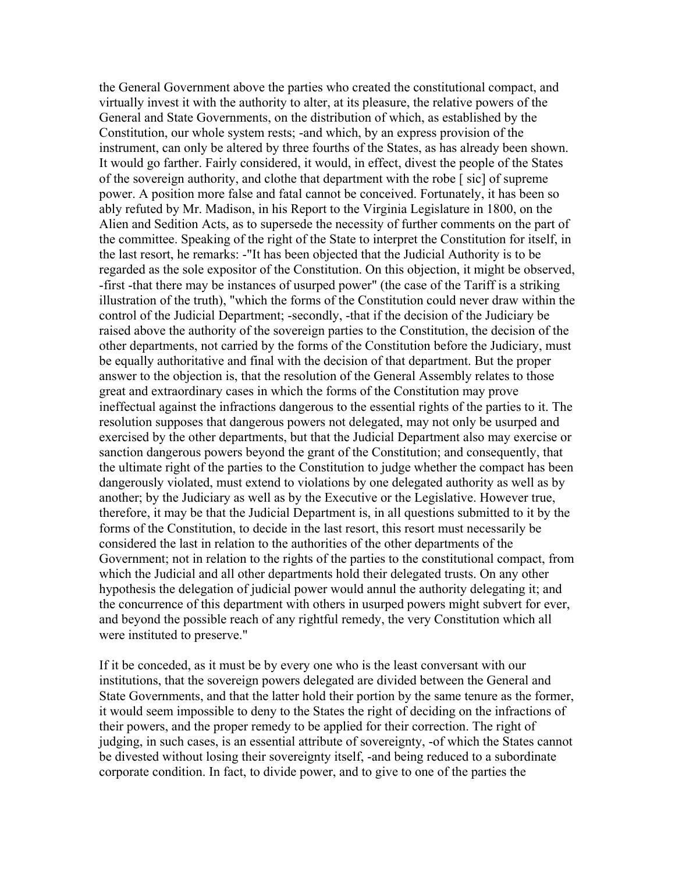the General Government above the parties who created the constitutional compact, and virtually invest it with the authority to alter, at its pleasure, the relative powers of the General and State Governments, on the distribution of which, as established by the Constitution, our whole system rests; -and which, by an express provision of the instrument, can only be altered by three fourths of the States, as has already been shown. It would go farther. Fairly considered, it would, in effect, divest the people of the States of the sovereign authority, and clothe that department with the robe [ sic] of supreme power. A position more false and fatal cannot be conceived. Fortunately, it has been so ably refuted by Mr. Madison, in his Report to the Virginia Legislature in 1800, on the Alien and Sedition Acts, as to supersede the necessity of further comments on the part of the committee. Speaking of the right of the State to interpret the Constitution for itself, in the last resort, he remarks: -"It has been objected that the Judicial Authority is to be regarded as the sole expositor of the Constitution. On this objection, it might be observed, -first -that there may be instances of usurped power" (the case of the Tariff is a striking illustration of the truth), "which the forms of the Constitution could never draw within the control of the Judicial Department; -secondly, -that if the decision of the Judiciary be raised above the authority of the sovereign parties to the Constitution, the decision of the other departments, not carried by the forms of the Constitution before the Judiciary, must be equally authoritative and final with the decision of that department. But the proper answer to the objection is, that the resolution of the General Assembly relates to those great and extraordinary cases in which the forms of the Constitution may prove ineffectual against the infractions dangerous to the essential rights of the parties to it. The resolution supposes that dangerous powers not delegated, may not only be usurped and exercised by the other departments, but that the Judicial Department also may exercise or sanction dangerous powers beyond the grant of the Constitution; and consequently, that the ultimate right of the parties to the Constitution to judge whether the compact has been dangerously violated, must extend to violations by one delegated authority as well as by another; by the Judiciary as well as by the Executive or the Legislative. However true, therefore, it may be that the Judicial Department is, in all questions submitted to it by the forms of the Constitution, to decide in the last resort, this resort must necessarily be considered the last in relation to the authorities of the other departments of the Government; not in relation to the rights of the parties to the constitutional compact, from which the Judicial and all other departments hold their delegated trusts. On any other hypothesis the delegation of judicial power would annul the authority delegating it; and the concurrence of this department with others in usurped powers might subvert for ever, and beyond the possible reach of any rightful remedy, the very Constitution which all were instituted to preserve."

If it be conceded, as it must be by every one who is the least conversant with our institutions, that the sovereign powers delegated are divided between the General and State Governments, and that the latter hold their portion by the same tenure as the former, it would seem impossible to deny to the States the right of deciding on the infractions of their powers, and the proper remedy to be applied for their correction. The right of judging, in such cases, is an essential attribute of sovereignty, -of which the States cannot be divested without losing their sovereignty itself, -and being reduced to a subordinate corporate condition. In fact, to divide power, and to give to one of the parties the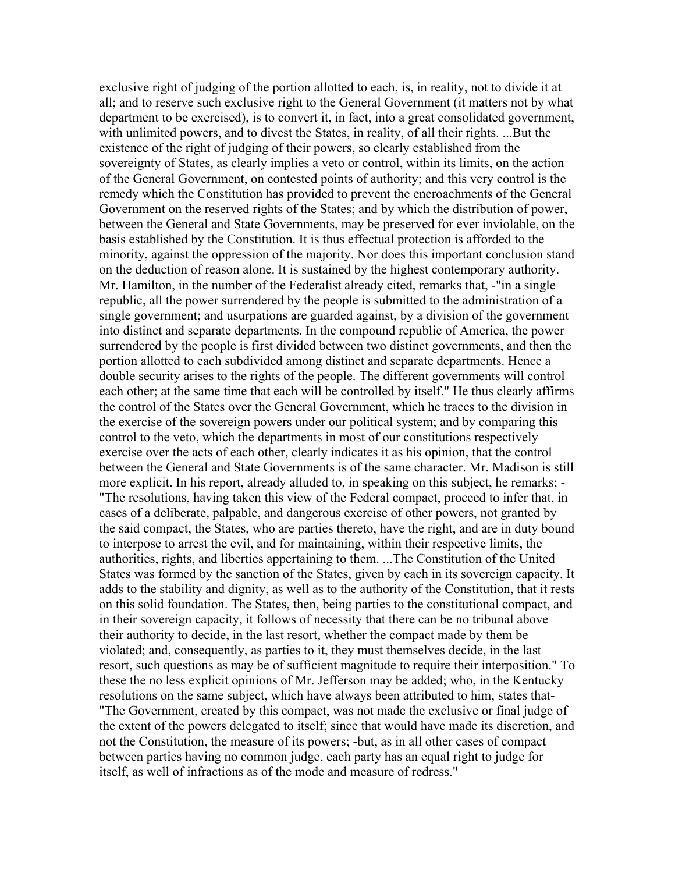exclusive right of judging of the portion allotted to each, is, in reality, not to divide it at all; and to reserve such exclusive right to the General Government (it matters not by what department to be exercised), is to convert it, in fact, into a great consolidated government, with unlimited powers, and to divest the States, in reality, of all their rights. ...But the existence of the right of judging of their powers, so clearly established from the sovereignty of States, as clearly implies a veto or control, within its limits, on the action of the General Government, on contested points of authority; and this very control is the remedy which the Constitution has provided to prevent the encroachments of the General Government on the reserved rights of the States; and by which the distribution of power, between the General and State Governments, may be preserved for ever inviolable, on the basis established by the Constitution. It is thus effectual protection is afforded to the minority, against the oppression of the majority. Nor does this important conclusion stand on the deduction of reason alone. It is sustained by the highest contemporary authority. Mr. Hamilton, in the number of the Federalist already cited, remarks that, -"in a single republic, all the power surrendered by the people is submitted to the administration of a single government; and usurpations are guarded against, by a division of the government into distinct and separate departments. In the compound republic of America, the power surrendered by the people is first divided between two distinct governments, and then the portion allotted to each subdivided among distinct and separate departments. Hence a double security arises to the rights of the people. The different governments will control each other; at the same time that each will be controlled by itself." He thus clearly affirms the control of the States over the General Government, which he traces to the division in the exercise of the sovereign powers under our political system; and by comparing this control to the veto, which the departments in most of our constitutions respectively exercise over the acts of each other, clearly indicates it as his opinion, that the control between the General and State Governments is of the same character. Mr. Madison is still more explicit. In his report, already alluded to, in speaking on this subject, he remarks; - "The resolutions, having taken this view of the Federal compact, proceed to infer that, in cases of a deliberate, palpable, and dangerous exercise of other powers, not granted by the said compact, the States, who are parties thereto, have the right, and are in duty bound to interpose to arrest the evil, and for maintaining, within their respective limits, the authorities, rights, and liberties appertaining to them. ...The Constitution of the United States was formed by the sanction of the States, given by each in its sovereign capacity. It adds to the stability and dignity, as well as to the authority of the Constitution, that it rests on this solid foundation. The States, then, being parties to the constitutional compact, and in their sovereign capacity, it follows of necessity that there can be no tribunal above their authority to decide, in the last resort, whether the compact made by them be violated; and, consequently, as parties to it, they must themselves decide, in the last resort, such questions as may be of sufficient magnitude to require their interposition." To these the no less explicit opinions of Mr. Jefferson may be added; who, in the Kentucky resolutions on the same subject, which have always been attributed to him, states that- "The Government, created by this compact, was not made the exclusive or final judge of the extent of the powers delegated to itself; since that would have made its discretion, and not the Constitution, the measure of its powers; -but, as in all other cases of compact between parties having no common judge, each party has an equal right to judge for itself, as well of infractions as of the mode and measure of redress."